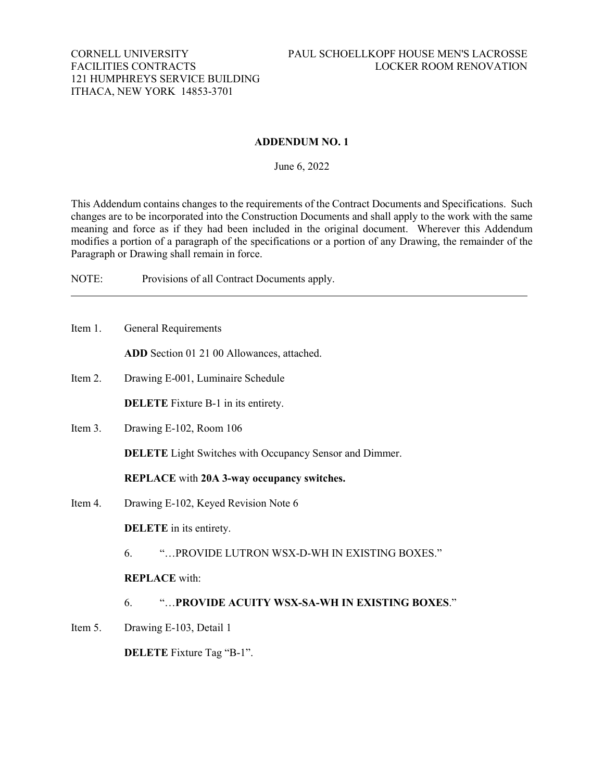#### **ADDENDUM NO. 1**

June 6, 2022

This Addendum contains changes to the requirements of the Contract Documents and Specifications. Such changes are to be incorporated into the Construction Documents and shall apply to the work with the same meaning and force as if they had been included in the original document. Wherever this Addendum modifies a portion of a paragraph of the specifications or a portion of any Drawing, the remainder of the Paragraph or Drawing shall remain in force.

NOTE: Provisions of all Contract Documents apply.

Item 1. General Requirements

**ADD** Section 01 21 00 Allowances, attached.

Item 2. Drawing E-001, Luminaire Schedule

**DELETE** Fixture B-1 in its entirety.

Item 3. Drawing E-102, Room 106

**DELETE** Light Switches with Occupancy Sensor and Dimmer.

**REPLACE** with **20A 3-way occupancy switches.**

Item 4. Drawing E-102, Keyed Revision Note 6

**DELETE** in its entirety.

6. "…PROVIDE LUTRON WSX-D-WH IN EXISTING BOXES."

**REPLACE** with:

- 6. "…**PROVIDE ACUITY WSX-SA-WH IN EXISTING BOXES**."
- Item 5. Drawing E-103, Detail 1

**DELETE** Fixture Tag "B-1".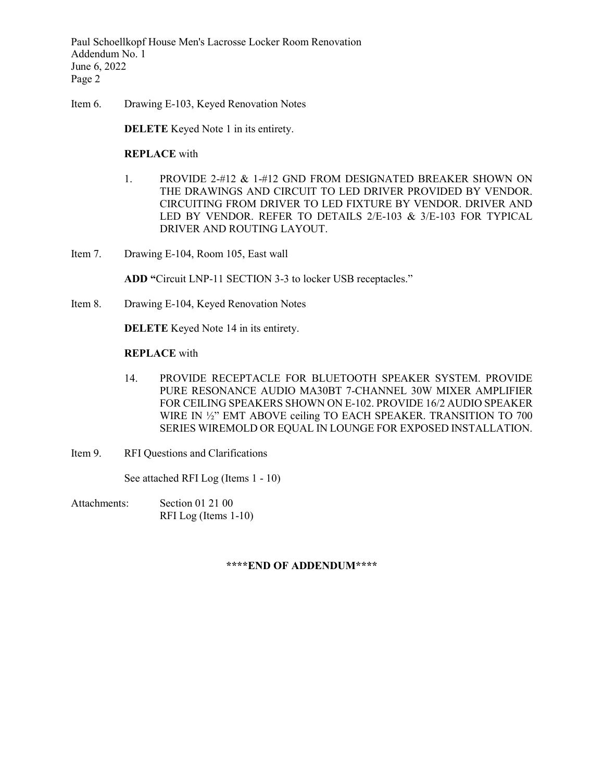Paul Schoellkopf House Men's Lacrosse Locker Room Renovation Addendum No. 1 June 6, 2022 Page 2

Item 6. Drawing E-103, Keyed Renovation Notes

**DELETE** Keyed Note 1 in its entirety.

#### **REPLACE** with

- 1. PROVIDE 2-#12 & 1-#12 GND FROM DESIGNATED BREAKER SHOWN ON THE DRAWINGS AND CIRCUIT TO LED DRIVER PROVIDED BY VENDOR. CIRCUITING FROM DRIVER TO LED FIXTURE BY VENDOR. DRIVER AND LED BY VENDOR. REFER TO DETAILS 2/E-103 & 3/E-103 FOR TYPICAL DRIVER AND ROUTING LAYOUT.
- Item 7. Drawing E-104, Room 105, East wall

**ADD "**Circuit LNP-11 SECTION 3-3 to locker USB receptacles."

Item 8. Drawing E-104, Keyed Renovation Notes

**DELETE** Keyed Note 14 in its entirety.

#### **REPLACE** with

- 14. PROVIDE RECEPTACLE FOR BLUETOOTH SPEAKER SYSTEM. PROVIDE PURE RESONANCE AUDIO MA30BT 7-CHANNEL 30W MIXER AMPLIFIER FOR CEILING SPEAKERS SHOWN ON E-102. PROVIDE 16/2 AUDIO SPEAKER WIRE IN ½" EMT ABOVE ceiling TO EACH SPEAKER. TRANSITION TO 700 SERIES WIREMOLD OR EQUAL IN LOUNGE FOR EXPOSED INSTALLATION.
- Item 9. RFI Questions and Clarifications

See attached RFI Log (Items 1 - 10)

Attachments: Section 01 21 00 RFI Log (Items 1-10)

#### **\*\*\*\*END OF ADDENDUM\*\*\*\***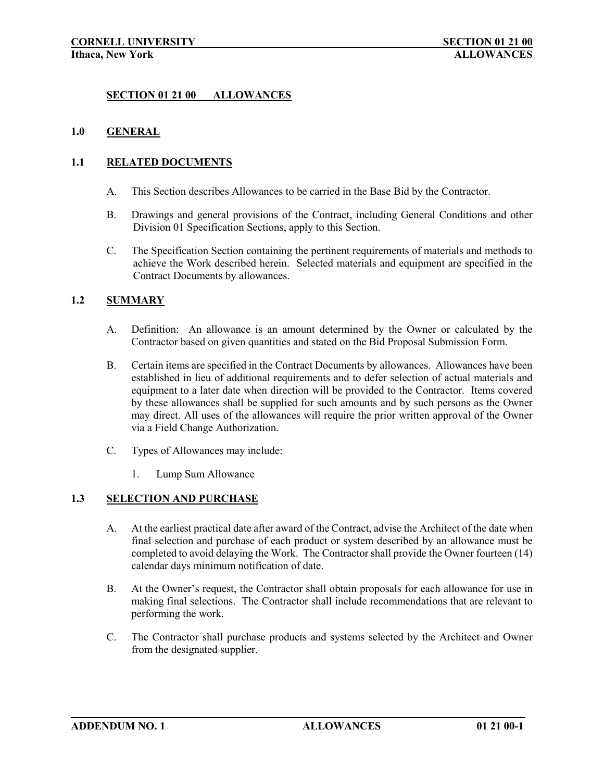## **SECTION 01 21 00 ALLOWANCES**

## **1.0 GENERAL**

## **1.1 RELATED DOCUMENTS**

- A. This Section describes Allowances to be carried in the Base Bid by the Contractor.
- B. Drawings and general provisions of the Contract, including General Conditions and other Division 01 Specification Sections, apply to this Section.
- C. The Specification Section containing the pertinent requirements of materials and methods to achieve the Work described herein. Selected materials and equipment are specified in the Contract Documents by allowances.

# **1.2 SUMMARY**

- A. Definition: An allowance is an amount determined by the Owner or calculated by the Contractor based on given quantities and stated on the Bid Proposal Submission Form.
- B. Certain items are specified in the Contract Documents by allowances. Allowances have been established in lieu of additional requirements and to defer selection of actual materials and equipment to a later date when direction will be provided to the Contractor. Items covered by these allowances shall be supplied for such amounts and by such persons as the Owner may direct. All uses of the allowances will require the prior written approval of the Owner via a Field Change Authorization.
- C. Types of Allowances may include:
	- 1. Lump Sum Allowance

## **1.3 SELECTION AND PURCHASE**

- A. At the earliest practical date after award of the Contract, advise the Architect of the date when final selection and purchase of each product or system described by an allowance must be completed to avoid delaying the Work. The Contractor shall provide the Owner fourteen (14) calendar days minimum notification of date.
- B. At the Owner's request, the Contractor shall obtain proposals for each allowance for use in making final selections. The Contractor shall include recommendations that are relevant to performing the work.
- C. The Contractor shall purchase products and systems selected by the Architect and Owner from the designated supplier.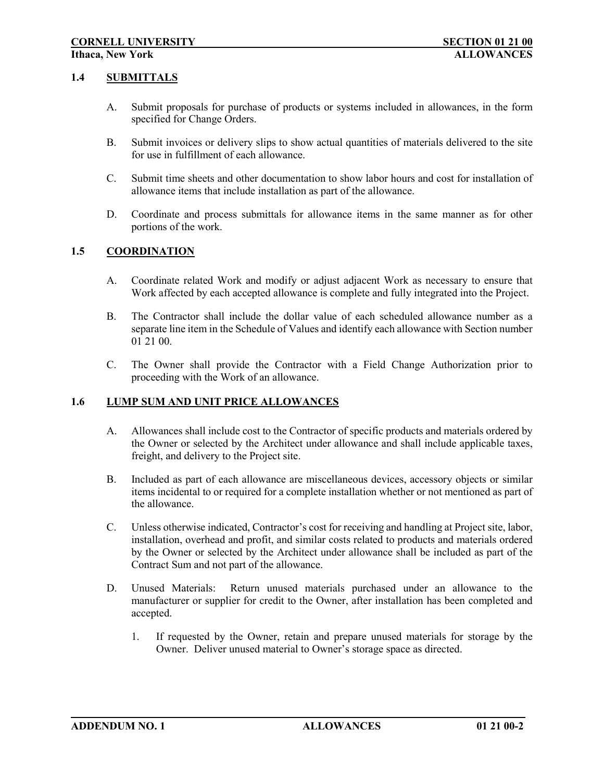#### **1.4 SUBMITTALS**

- A. Submit proposals for purchase of products or systems included in allowances, in the form specified for Change Orders.
- B. Submit invoices or delivery slips to show actual quantities of materials delivered to the site for use in fulfillment of each allowance.
- C. Submit time sheets and other documentation to show labor hours and cost for installation of allowance items that include installation as part of the allowance.
- D. Coordinate and process submittals for allowance items in the same manner as for other portions of the work.

# **1.5 COORDINATION**

- A. Coordinate related Work and modify or adjust adjacent Work as necessary to ensure that Work affected by each accepted allowance is complete and fully integrated into the Project.
- B. The Contractor shall include the dollar value of each scheduled allowance number as a separate line item in the Schedule of Values and identify each allowance with Section number 01 21 00.
- C. The Owner shall provide the Contractor with a Field Change Authorization prior to proceeding with the Work of an allowance.

## **1.6 LUMP SUM AND UNIT PRICE ALLOWANCES**

- A. Allowances shall include cost to the Contractor of specific products and materials ordered by the Owner or selected by the Architect under allowance and shall include applicable taxes, freight, and delivery to the Project site.
- B. Included as part of each allowance are miscellaneous devices, accessory objects or similar items incidental to or required for a complete installation whether or not mentioned as part of the allowance.
- C. Unless otherwise indicated, Contractor's cost for receiving and handling at Project site, labor, installation, overhead and profit, and similar costs related to products and materials ordered by the Owner or selected by the Architect under allowance shall be included as part of the Contract Sum and not part of the allowance.
- D. Unused Materials: Return unused materials purchased under an allowance to the manufacturer or supplier for credit to the Owner, after installation has been completed and accepted.
	- 1. If requested by the Owner, retain and prepare unused materials for storage by the Owner. Deliver unused material to Owner's storage space as directed.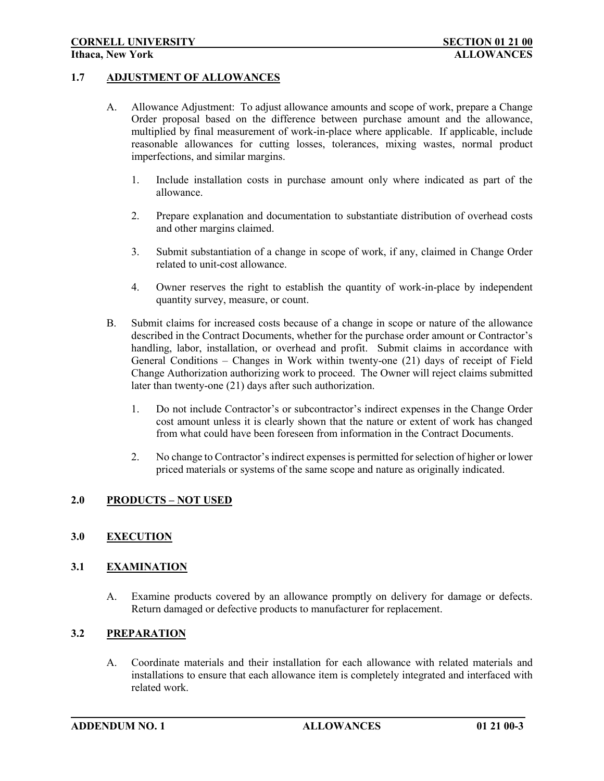#### **1.7 ADJUSTMENT OF ALLOWANCES**

- A. Allowance Adjustment: To adjust allowance amounts and scope of work, prepare a Change Order proposal based on the difference between purchase amount and the allowance, multiplied by final measurement of work-in-place where applicable. If applicable, include reasonable allowances for cutting losses, tolerances, mixing wastes, normal product imperfections, and similar margins.
	- 1. Include installation costs in purchase amount only where indicated as part of the allowance.
	- 2. Prepare explanation and documentation to substantiate distribution of overhead costs and other margins claimed.
	- 3. Submit substantiation of a change in scope of work, if any, claimed in Change Order related to unit-cost allowance.
	- 4. Owner reserves the right to establish the quantity of work-in-place by independent quantity survey, measure, or count.
- B. Submit claims for increased costs because of a change in scope or nature of the allowance described in the Contract Documents, whether for the purchase order amount or Contractor's handling, labor, installation, or overhead and profit. Submit claims in accordance with General Conditions – Changes in Work within twenty-one (21) days of receipt of Field Change Authorization authorizing work to proceed. The Owner will reject claims submitted later than twenty-one (21) days after such authorization.
	- 1. Do not include Contractor's or subcontractor's indirect expenses in the Change Order cost amount unless it is clearly shown that the nature or extent of work has changed from what could have been foreseen from information in the Contract Documents.
	- 2. No change to Contractor's indirect expenses is permitted for selection of higher or lower priced materials or systems of the same scope and nature as originally indicated.

## **2.0 PRODUCTS – NOT USED**

## **3.0 EXECUTION**

#### **3.1 EXAMINATION**

A. Examine products covered by an allowance promptly on delivery for damage or defects. Return damaged or defective products to manufacturer for replacement.

#### **3.2 PREPARATION**

A. Coordinate materials and their installation for each allowance with related materials and installations to ensure that each allowance item is completely integrated and interfaced with related work.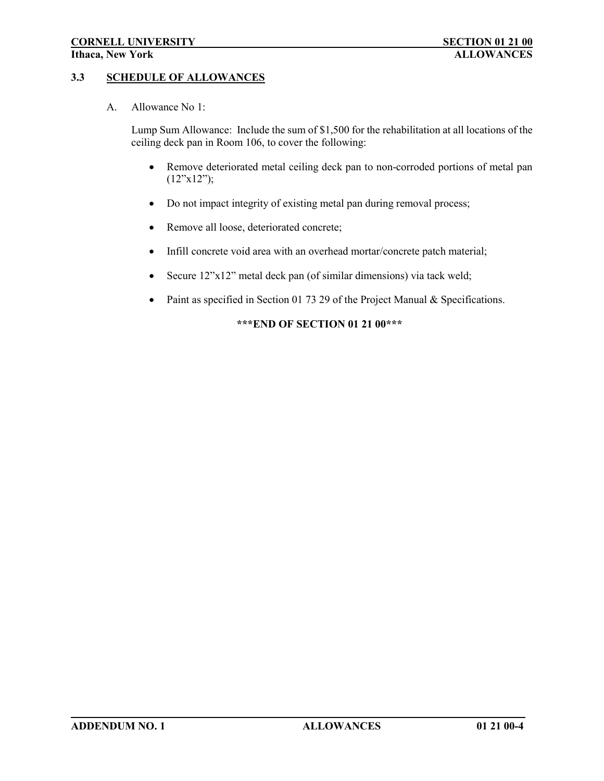# **3.3 SCHEDULE OF ALLOWANCES**

A. Allowance No 1:

Lump Sum Allowance: Include the sum of \$1,500 for the rehabilitation at all locations of the ceiling deck pan in Room 106, to cover the following:

- Remove deteriorated metal ceiling deck pan to non-corroded portions of metal pan  $(12"x12"$ ;
- Do not impact integrity of existing metal pan during removal process;
- Remove all loose, deteriorated concrete;
- Infill concrete void area with an overhead mortar/concrete patch material;
- Secure 12"x12" metal deck pan (of similar dimensions) via tack weld;
- Paint as specified in Section 01 73 29 of the Project Manual & Specifications.

## **\*\*\*END OF SECTION 01 21 00\*\*\***